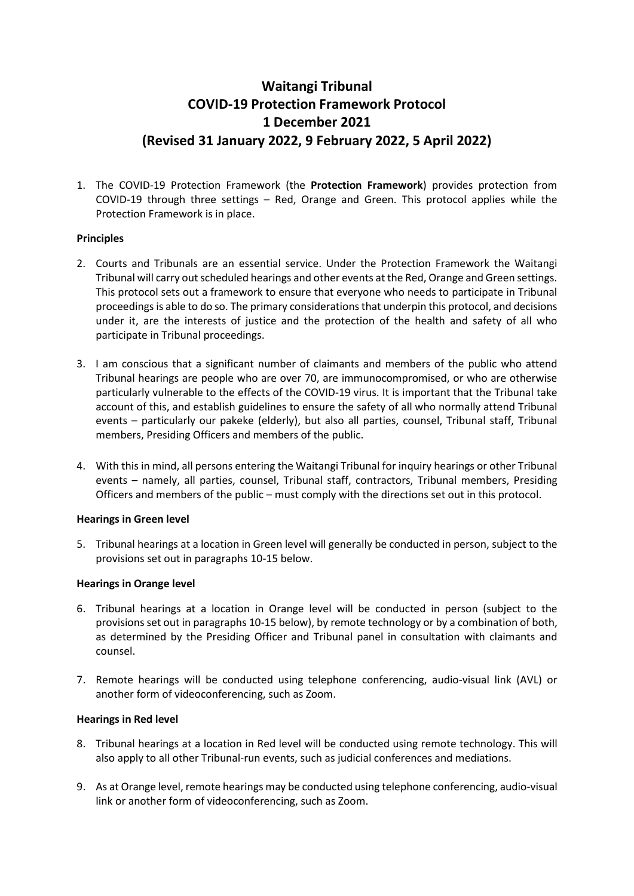# **Waitangi Tribunal COVID-19 Protection Framework Protocol 1 December 2021 (Revised 31 January 2022, 9 February 2022, 5 April 2022)**

1. The COVID-19 Protection Framework (the **Protection Framework**) provides protection from COVID-19 through three settings – Red, Orange and Green. This protocol applies while the Protection Framework is in place.

## **Principles**

- 2. Courts and Tribunals are an essential service. Under the Protection Framework the Waitangi Tribunal will carry out scheduled hearings and other events at the Red, Orange and Green settings. This protocol sets out a framework to ensure that everyone who needs to participate in Tribunal proceedings is able to do so. The primary considerations that underpin this protocol, and decisions under it, are the interests of justice and the protection of the health and safety of all who participate in Tribunal proceedings.
- 3. I am conscious that a significant number of claimants and members of the public who attend Tribunal hearings are people who are over 70, are immunocompromised, or who are otherwise particularly vulnerable to the effects of the COVID-19 virus. It is important that the Tribunal take account of this, and establish guidelines to ensure the safety of all who normally attend Tribunal events – particularly our pakeke (elderly), but also all parties, counsel, Tribunal staff, Tribunal members, Presiding Officers and members of the public.
- 4. With this in mind, all persons entering the Waitangi Tribunal for inquiry hearings or other Tribunal events – namely, all parties, counsel, Tribunal staff, contractors, Tribunal members, Presiding Officers and members of the public – must comply with the directions set out in this protocol.

### **Hearings in Green level**

5. Tribunal hearings at a location in Green level will generally be conducted in person, subject to the provisions set out in paragraphs 10-15 below.

### **Hearings in Orange level**

- 6. Tribunal hearings at a location in Orange level will be conducted in person (subject to the provisions set out in paragraphs 10-15 below), by remote technology or by a combination of both, as determined by the Presiding Officer and Tribunal panel in consultation with claimants and counsel.
- 7. Remote hearings will be conducted using telephone conferencing, audio-visual link (AVL) or another form of videoconferencing, such as Zoom.

### **Hearings in Red level**

- 8. Tribunal hearings at a location in Red level will be conducted using remote technology. This will also apply to all other Tribunal-run events, such as judicial conferences and mediations.
- 9. As at Orange level, remote hearings may be conducted using telephone conferencing, audio-visual link or another form of videoconferencing, such as Zoom.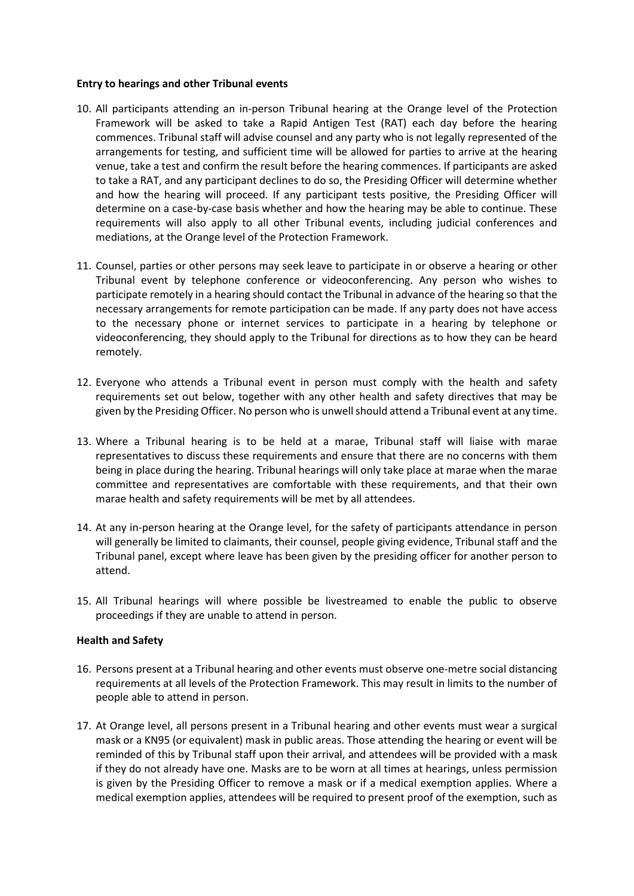#### **Entry to hearings and other Tribunal events**

- 10. All participants attending an in-person Tribunal hearing at the Orange level of the Protection Framework will be asked to take a Rapid Antigen Test (RAT) each day before the hearing commences. Tribunal staff will advise counsel and any party who is not legally represented of the arrangements for testing, and sufficient time will be allowed for parties to arrive at the hearing venue, take a test and confirm the result before the hearing commences. If participants are asked to take a RAT, and any participant declines to do so, the Presiding Officer will determine whether and how the hearing will proceed. If any participant tests positive, the Presiding Officer will determine on a case-by-case basis whether and how the hearing may be able to continue. These requirements will also apply to all other Tribunal events, including judicial conferences and mediations, at the Orange level of the Protection Framework.
- 11. Counsel, parties or other persons may seek leave to participate in or observe a hearing or other Tribunal event by telephone conference or videoconferencing. Any person who wishes to participate remotely in a hearing should contact the Tribunal in advance of the hearing so that the necessary arrangements for remote participation can be made. If any party does not have access to the necessary phone or internet services to participate in a hearing by telephone or videoconferencing, they should apply to the Tribunal for directions as to how they can be heard remotely.
- 12. Everyone who attends a Tribunal event in person must comply with the health and safety requirements set out below, together with any other health and safety directives that may be given by the Presiding Officer. No person who is unwell should attend a Tribunal event at any time.
- 13. Where a Tribunal hearing is to be held at a marae, Tribunal staff will liaise with marae representatives to discuss these requirements and ensure that there are no concerns with them being in place during the hearing. Tribunal hearings will only take place at marae when the marae committee and representatives are comfortable with these requirements, and that their own marae health and safety requirements will be met by all attendees.
- 14. At any in-person hearing at the Orange level, for the safety of participants attendance in person will generally be limited to claimants, their counsel, people giving evidence, Tribunal staff and the Tribunal panel, except where leave has been given by the presiding officer for another person to attend.
- 15. All Tribunal hearings will where possible be livestreamed to enable the public to observe proceedings if they are unable to attend in person.

### **Health and Safety**

- 16. Persons present at a Tribunal hearing and other events must observe one-metre social distancing requirements at all levels of the Protection Framework. This may result in limits to the number of people able to attend in person.
- 17. At Orange level, all persons present in a Tribunal hearing and other events must wear a surgical mask or a KN95 (or equivalent) mask in public areas. Those attending the hearing or event will be reminded of this by Tribunal staff upon their arrival, and attendees will be provided with a mask if they do not already have one. Masks are to be worn at all times at hearings, unless permission is given by the Presiding Officer to remove a mask or if a medical exemption applies. Where a medical exemption applies, attendees will be required to present proof of the exemption, such as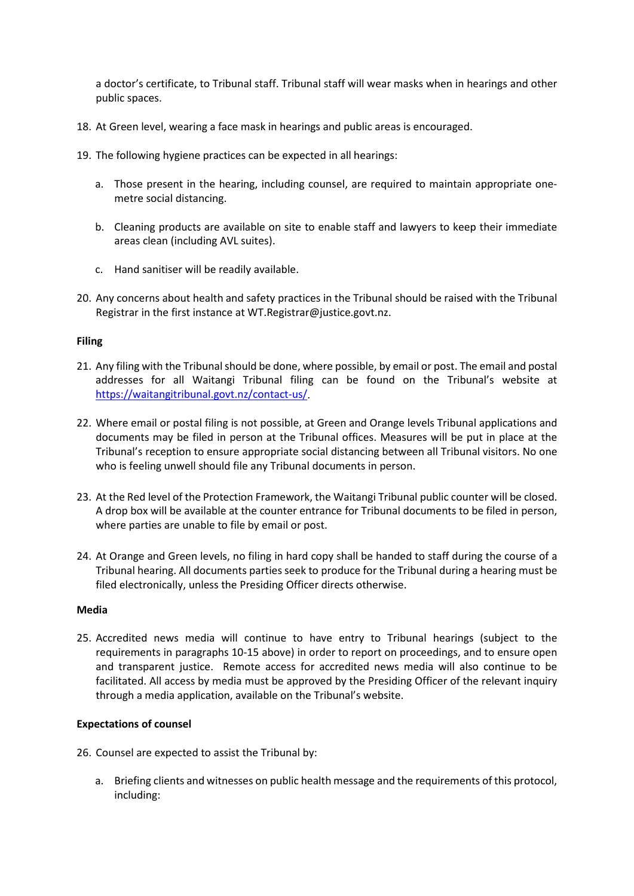a doctor's certificate, to Tribunal staff. Tribunal staff will wear masks when in hearings and other public spaces.

- 18. At Green level, wearing a face mask in hearings and public areas is encouraged.
- 19. The following hygiene practices can be expected in all hearings:
	- a. Those present in the hearing, including counsel, are required to maintain appropriate onemetre social distancing.
	- b. Cleaning products are available on site to enable staff and lawyers to keep their immediate areas clean (including AVL suites).
	- c. Hand sanitiser will be readily available.
- 20. Any concerns about health and safety practices in the Tribunal should be raised with the Tribunal Registrar in the first instance at WT.Registrar@justice.govt.nz.

### **Filing**

- 21. Any filing with the Tribunal should be done, where possible, by email or post. The email and postal addresses for all Waitangi Tribunal filing can be found on the Tribunal's website at [https://waitangitribunal.govt.nz/contact-us/.](https://waitangitribunal.govt.nz/contact-us/)
- 22. Where email or postal filing is not possible, at Green and Orange levels Tribunal applications and documents may be filed in person at the Tribunal offices. Measures will be put in place at the Tribunal's reception to ensure appropriate social distancing between all Tribunal visitors. No one who is feeling unwell should file any Tribunal documents in person.
- 23. At the Red level of the Protection Framework, the Waitangi Tribunal public counter will be closed. A drop box will be available at the counter entrance for Tribunal documents to be filed in person, where parties are unable to file by email or post.
- 24. At Orange and Green levels, no filing in hard copy shall be handed to staff during the course of a Tribunal hearing. All documents parties seek to produce for the Tribunal during a hearing must be filed electronically, unless the Presiding Officer directs otherwise.

### **Media**

25. Accredited news media will continue to have entry to Tribunal hearings (subject to the requirements in paragraphs 10-15 above) in order to report on proceedings, and to ensure open and transparent justice. Remote access for accredited news media will also continue to be facilitated. All access by media must be approved by the Presiding Officer of the relevant inquiry through a media application, available on the Tribunal's website.

### **Expectations of counsel**

- 26. Counsel are expected to assist the Tribunal by:
	- a. Briefing clients and witnesses on public health message and the requirements of this protocol, including: